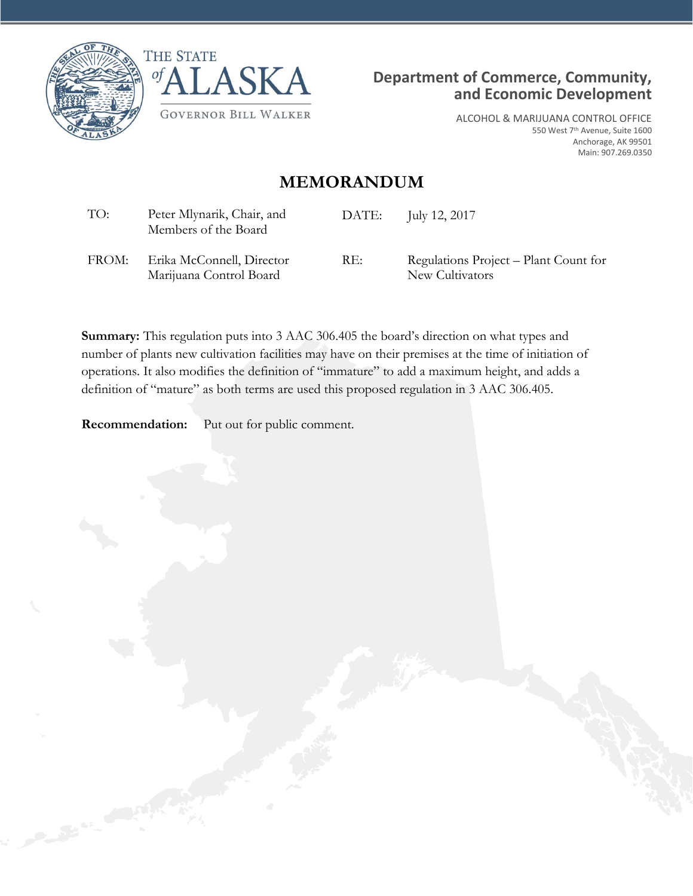





ALCOHOL & MARIJUANA CONTROL OFFICE 550 West 7th Avenue, Suite 1600 Anchorage, AK 99501 Main: 907.269.0350

## **MEMORANDUM**

| TO:   | Peter Mlynarik, Chair, and<br>Members of the Board   | DATE: | July 12, 2017                                            |
|-------|------------------------------------------------------|-------|----------------------------------------------------------|
| FROM: | Erika McConnell, Director<br>Marijuana Control Board | RE:   | Regulations Project – Plant Count for<br>New Cultivators |

**Summary:** This regulation puts into 3 AAC 306.405 the board's direction on what types and number of plants new cultivation facilities may have on their premises at the time of initiation of operations. It also modifies the definition of "immature" to add a maximum height, and adds a definition of "mature" as both terms are used this proposed regulation in 3 AAC 306.405.

**Recommendation:** Put out for public comment.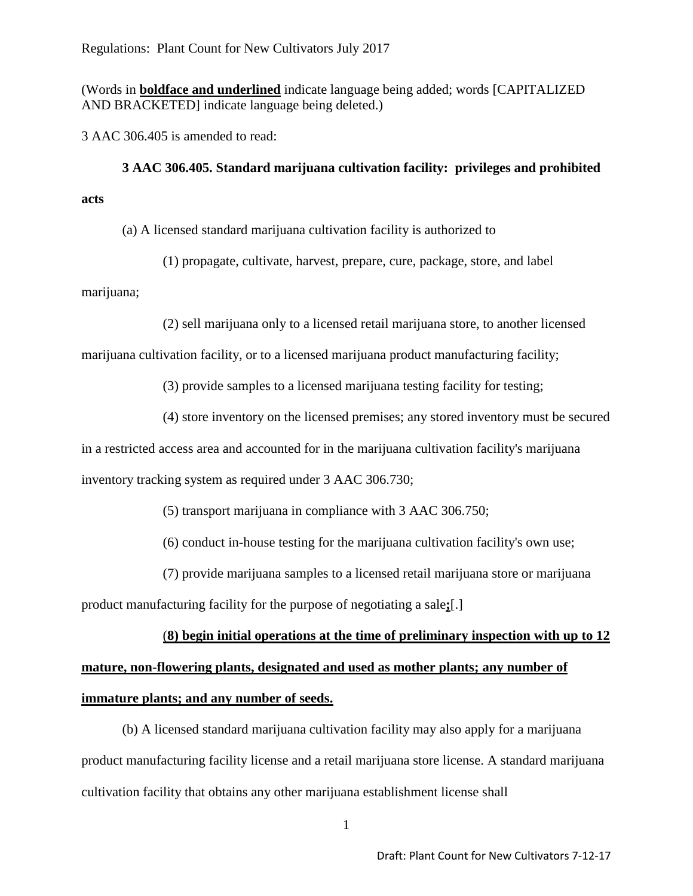Regulations: Plant Count for New Cultivators July 2017

(Words in **boldface and underlined** indicate language being added; words [CAPITALIZED AND BRACKETED] indicate language being deleted.)

3 AAC 306.405 is amended to read:

**3 AAC 306.405. Standard marijuana cultivation facility: privileges and prohibited acts**

(a) A licensed standard marijuana cultivation facility is authorized to

(1) propagate, cultivate, harvest, prepare, cure, package, store, and label

marijuana;

(2) sell marijuana only to a licensed retail marijuana store, to another licensed

marijuana cultivation facility, or to a licensed marijuana product manufacturing facility;

(3) provide samples to a licensed marijuana testing facility for testing;

(4) store inventory on the licensed premises; any stored inventory must be secured

in a restricted access area and accounted for in the marijuana cultivation facility's marijuana

inventory tracking system as required under 3 AAC 306.730;

(5) transport marijuana in compliance with 3 AAC 306.750;

(6) conduct in-house testing for the marijuana cultivation facility's own use;

(7) provide marijuana samples to a licensed retail marijuana store or marijuana

product manufacturing facility for the purpose of negotiating a sale**;**[.]

#### (**8) begin initial operations at the time of preliminary inspection with up to 12**

# **mature, non-flowering plants, designated and used as mother plants; any number of immature plants; and any number of seeds.**

(b) A licensed standard marijuana cultivation facility may also apply for a marijuana product manufacturing facility license and a retail marijuana store license. A standard marijuana cultivation facility that obtains any other marijuana establishment license shall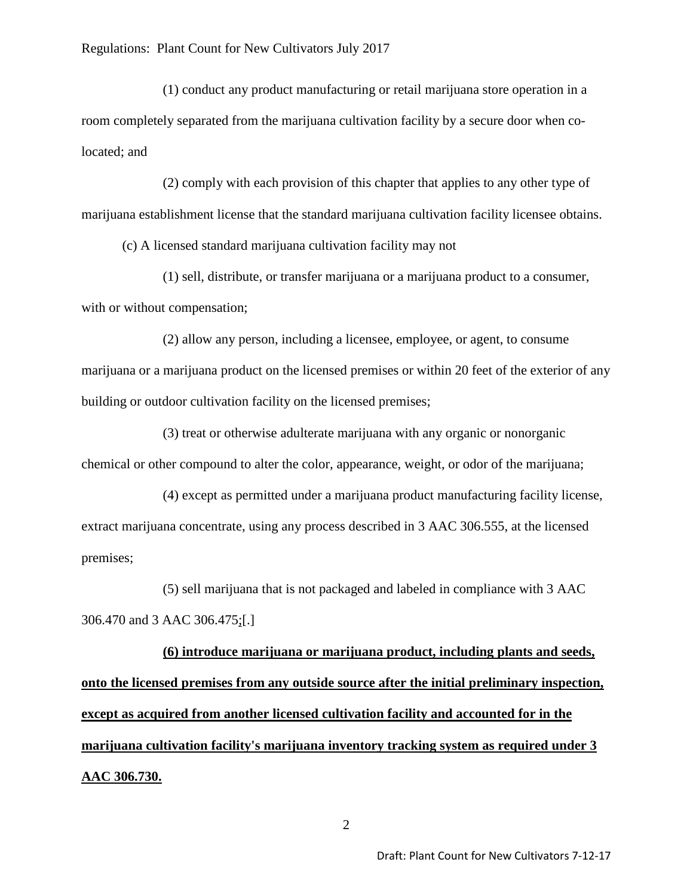(1) conduct any product manufacturing or retail marijuana store operation in a room completely separated from the marijuana cultivation facility by a secure door when colocated; and

(2) comply with each provision of this chapter that applies to any other type of marijuana establishment license that the standard marijuana cultivation facility licensee obtains.

(c) A licensed standard marijuana cultivation facility may not

(1) sell, distribute, or transfer marijuana or a marijuana product to a consumer, with or without compensation;

(2) allow any person, including a licensee, employee, or agent, to consume marijuana or a marijuana product on the licensed premises or within 20 feet of the exterior of any building or outdoor cultivation facility on the licensed premises;

(3) treat or otherwise adulterate marijuana with any organic or nonorganic chemical or other compound to alter the color, appearance, weight, or odor of the marijuana;

(4) except as permitted under a marijuana product manufacturing facility license, extract marijuana concentrate, using any process described in 3 AAC 306.555, at the licensed premises;

(5) sell marijuana that is not packaged and labeled in compliance with 3 AAC 306.470 and 3 AAC 306.475;[.]

**(6) introduce marijuana or marijuana product, including plants and seeds, onto the licensed premises from any outside source after the initial preliminary inspection, except as acquired from another licensed cultivation facility and accounted for in the marijuana cultivation facility's marijuana inventory tracking system as required under 3 AAC 306.730.**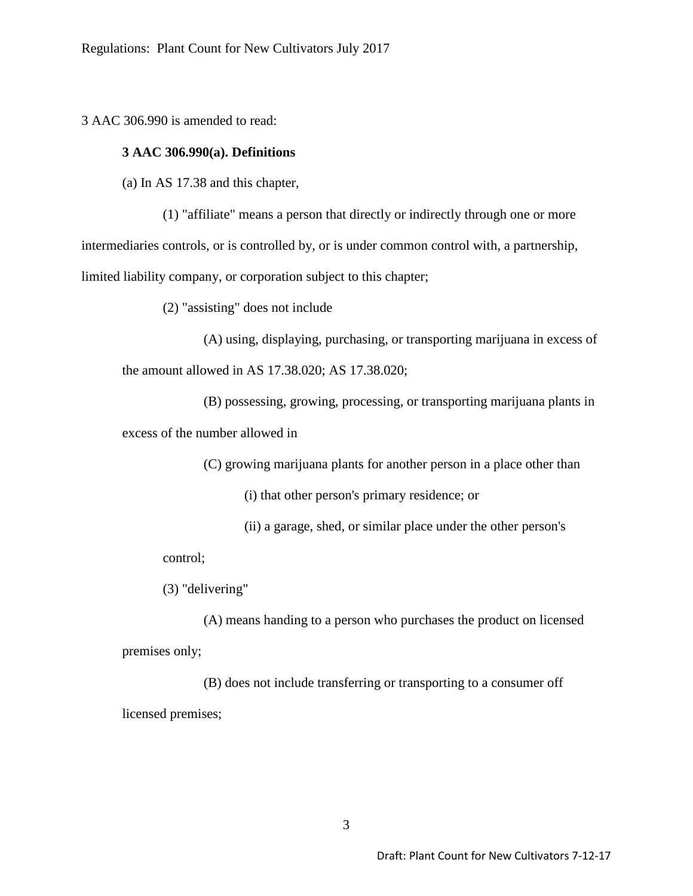3 AAC 306.990 is amended to read:

### **3 AAC 306.990(a). Definitions**

(a) In AS 17.38 and this chapter,

(1) "affiliate" means a person that directly or indirectly through one or more intermediaries controls, or is controlled by, or is under common control with, a partnership, limited liability company, or corporation subject to this chapter;

(2) "assisting" does not include

(A) using, displaying, purchasing, or transporting marijuana in excess of

the amount allowed in AS 17.38.020; AS 17.38.020;

(B) possessing, growing, processing, or transporting marijuana plants in excess of the number allowed in

(C) growing marijuana plants for another person in a place other than

(i) that other person's primary residence; or

(ii) a garage, shed, or similar place under the other person's

control;

(3) "delivering"

(A) means handing to a person who purchases the product on licensed premises only;

(B) does not include transferring or transporting to a consumer off licensed premises;

3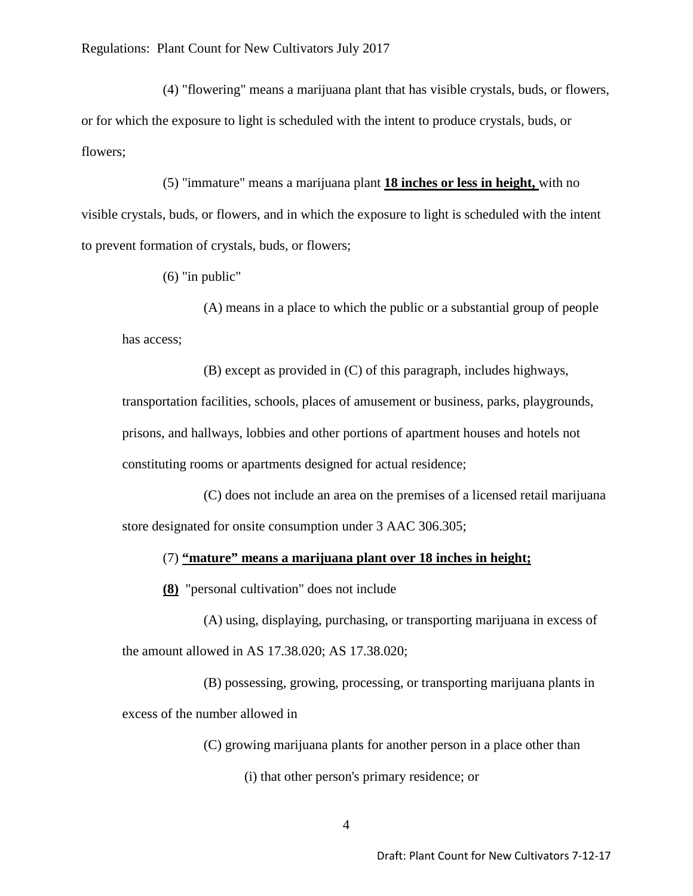(4) "flowering" means a marijuana plant that has visible crystals, buds, or flowers, or for which the exposure to light is scheduled with the intent to produce crystals, buds, or flowers;

(5) "immature" means a marijuana plant **18 inches or less in height,** with no visible crystals, buds, or flowers, and in which the exposure to light is scheduled with the intent to prevent formation of crystals, buds, or flowers;

(6) "in public"

(A) means in a place to which the public or a substantial group of people has access;

(B) except as provided in (C) of this paragraph, includes highways, transportation facilities, schools, places of amusement or business, parks, playgrounds, prisons, and hallways, lobbies and other portions of apartment houses and hotels not constituting rooms or apartments designed for actual residence;

(C) does not include an area on the premises of a licensed retail marijuana store designated for onsite consumption under 3 AAC 306.305;

### (7) **"mature" means a marijuana plant over 18 inches in height;**

**(8)** "personal cultivation" does not include

(A) using, displaying, purchasing, or transporting marijuana in excess of the amount allowed in AS 17.38.020; AS 17.38.020;

(B) possessing, growing, processing, or transporting marijuana plants in excess of the number allowed in

(C) growing marijuana plants for another person in a place other than

(i) that other person's primary residence; or